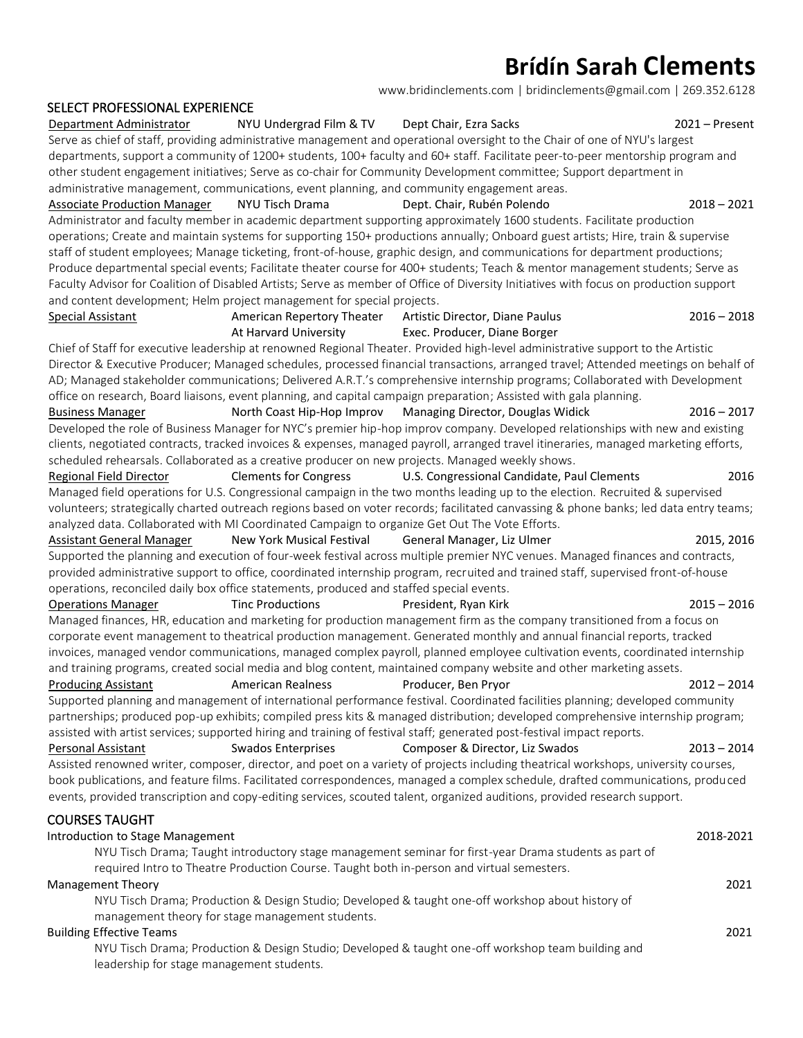# **Brídín Sarah Clements**

[www.bridinclements.com](http://www.bridinclements.com/) | [bridinclements@gmail.com](mailto:bridinclements@gmail.com2) | 269.352.6128

#### SELECT PROFESSIONAL EXPERIENCE

| Serve as chief of staff, providing administrative management and operational oversight to the Chair of one of NYU's largest                                                                                                                                              |                                                                                                  |                                                                                                                                        |               |  |
|--------------------------------------------------------------------------------------------------------------------------------------------------------------------------------------------------------------------------------------------------------------------------|--------------------------------------------------------------------------------------------------|----------------------------------------------------------------------------------------------------------------------------------------|---------------|--|
| departments, support a community of 1200+ students, 100+ faculty and 60+ staff. Facilitate peer-to-peer mentorship program and                                                                                                                                           |                                                                                                  |                                                                                                                                        |               |  |
| other student engagement initiatives; Serve as co-chair for Community Development committee; Support department in                                                                                                                                                       |                                                                                                  |                                                                                                                                        |               |  |
|                                                                                                                                                                                                                                                                          | administrative management, communications, event planning, and community engagement areas.       |                                                                                                                                        |               |  |
| <b>Associate Production Manager</b>                                                                                                                                                                                                                                      | NYU Tisch Drama                                                                                  | Dept. Chair, Rubén Polendo                                                                                                             | $2018 - 2021$ |  |
|                                                                                                                                                                                                                                                                          |                                                                                                  | Administrator and faculty member in academic department supporting approximately 1600 students. Facilitate production                  |               |  |
|                                                                                                                                                                                                                                                                          |                                                                                                  |                                                                                                                                        |               |  |
| operations; Create and maintain systems for supporting 150+ productions annually; Onboard guest artists; Hire, train & supervise<br>staff of student employees; Manage ticketing, front-of-house, graphic design, and communications for department productions;         |                                                                                                  |                                                                                                                                        |               |  |
|                                                                                                                                                                                                                                                                          |                                                                                                  |                                                                                                                                        |               |  |
| Produce departmental special events; Facilitate theater course for 400+ students; Teach & mentor management students; Serve as<br>Faculty Advisor for Coalition of Disabled Artists; Serve as member of Office of Diversity Initiatives with focus on production support |                                                                                                  |                                                                                                                                        |               |  |
| and content development; Helm project management for special projects.                                                                                                                                                                                                   |                                                                                                  |                                                                                                                                        |               |  |
| <b>Special Assistant</b>                                                                                                                                                                                                                                                 | American Repertory Theater                                                                       | Artistic Director, Diane Paulus                                                                                                        | $2016 - 2018$ |  |
|                                                                                                                                                                                                                                                                          | At Harvard University                                                                            | Exec. Producer, Diane Borger                                                                                                           |               |  |
|                                                                                                                                                                                                                                                                          |                                                                                                  |                                                                                                                                        |               |  |
|                                                                                                                                                                                                                                                                          |                                                                                                  | Chief of Staff for executive leadership at renowned Regional Theater. Provided high-level administrative support to the Artistic       |               |  |
| Director & Executive Producer; Managed schedules, processed financial transactions, arranged travel; Attended meetings on behalf of                                                                                                                                      |                                                                                                  |                                                                                                                                        |               |  |
|                                                                                                                                                                                                                                                                          |                                                                                                  | AD; Managed stakeholder communications; Delivered A.R.T.'s comprehensive internship programs; Collaborated with Development            |               |  |
|                                                                                                                                                                                                                                                                          |                                                                                                  | office on research, Board liaisons, event planning, and capital campaign preparation; Assisted with gala planning.                     |               |  |
| <b>Business Manager</b>                                                                                                                                                                                                                                                  | North Coast Hip-Hop Improv                                                                       | Managing Director, Douglas Widick                                                                                                      | $2016 - 2017$ |  |
|                                                                                                                                                                                                                                                                          |                                                                                                  | Developed the role of Business Manager for NYC's premier hip-hop improv company. Developed relationships with new and existing         |               |  |
|                                                                                                                                                                                                                                                                          |                                                                                                  | clients, negotiated contracts, tracked invoices & expenses, managed payroll, arranged travel itineraries, managed marketing efforts,   |               |  |
|                                                                                                                                                                                                                                                                          | scheduled rehearsals. Collaborated as a creative producer on new projects. Managed weekly shows. |                                                                                                                                        |               |  |
| Regional Field Director                                                                                                                                                                                                                                                  | <b>Clements for Congress</b>                                                                     | U.S. Congressional Candidate, Paul Clements                                                                                            | 2016          |  |
|                                                                                                                                                                                                                                                                          |                                                                                                  | Managed field operations for U.S. Congressional campaign in the two months leading up to the election. Recruited & supervised          |               |  |
|                                                                                                                                                                                                                                                                          |                                                                                                  | volunteers; strategically charted outreach regions based on voter records; facilitated canvassing & phone banks; led data entry teams; |               |  |
|                                                                                                                                                                                                                                                                          | analyzed data. Collaborated with MI Coordinated Campaign to organize Get Out The Vote Efforts.   |                                                                                                                                        |               |  |
| Assistant General Manager                                                                                                                                                                                                                                                | New York Musical Festival                                                                        | General Manager, Liz Ulmer                                                                                                             | 2015, 2016    |  |
| Supported the planning and execution of four-week festival across multiple premier NYC venues. Managed finances and contracts,                                                                                                                                           |                                                                                                  |                                                                                                                                        |               |  |
|                                                                                                                                                                                                                                                                          |                                                                                                  | provided administrative support to office, coordinated internship program, recruited and trained staff, supervised front-of-house      |               |  |
|                                                                                                                                                                                                                                                                          | operations, reconciled daily box office statements, produced and staffed special events.         |                                                                                                                                        |               |  |
| <b>Operations Manager</b>                                                                                                                                                                                                                                                | <b>Tinc Productions</b>                                                                          | President, Ryan Kirk                                                                                                                   | $2015 - 2016$ |  |
|                                                                                                                                                                                                                                                                          |                                                                                                  | Managed finances, HR, education and marketing for production management firm as the company transitioned from a focus on               |               |  |
|                                                                                                                                                                                                                                                                          |                                                                                                  | corporate event management to theatrical production management. Generated monthly and annual financial reports, tracked                |               |  |
|                                                                                                                                                                                                                                                                          |                                                                                                  | invoices, managed vendor communications, managed complex payroll, planned employee cultivation events, coordinated internship          |               |  |
|                                                                                                                                                                                                                                                                          |                                                                                                  | and training programs, created social media and blog content, maintained company website and other marketing assets.                   |               |  |
| <b>Producing Assistant</b>                                                                                                                                                                                                                                               | <b>American Realness</b>                                                                         | Producer, Ben Pryor                                                                                                                    | $2012 - 2014$ |  |
|                                                                                                                                                                                                                                                                          |                                                                                                  | Supported planning and management of international performance festival. Coordinated facilities planning; developed community          |               |  |
|                                                                                                                                                                                                                                                                          |                                                                                                  | partnerships; produced pop-up exhibits; compiled press kits & managed distribution; developed comprehensive internship program;        |               |  |
|                                                                                                                                                                                                                                                                          |                                                                                                  | assisted with artist services; supported hiring and training of festival staff; generated post-festival impact reports.                |               |  |
| <b>Personal Assistant</b>                                                                                                                                                                                                                                                | <b>Swados Enterprises</b>                                                                        | Composer & Director, Liz Swados                                                                                                        | $2013 - 2014$ |  |
|                                                                                                                                                                                                                                                                          |                                                                                                  | Assisted renowned writer, composer, director, and poet on a variety of projects including theatrical workshops, university courses,    |               |  |
|                                                                                                                                                                                                                                                                          |                                                                                                  | book publications, and feature films. Facilitated correspondences, managed a complex schedule, drafted communications, produced        |               |  |
|                                                                                                                                                                                                                                                                          |                                                                                                  |                                                                                                                                        |               |  |
|                                                                                                                                                                                                                                                                          |                                                                                                  | events, provided transcription and copy-editing services, scouted talent, organized auditions, provided research support.              |               |  |
| <b>COURSES TAUGHT</b>                                                                                                                                                                                                                                                    |                                                                                                  |                                                                                                                                        |               |  |
| Introduction to Stage Management                                                                                                                                                                                                                                         |                                                                                                  |                                                                                                                                        | 2018-2021     |  |
|                                                                                                                                                                                                                                                                          |                                                                                                  | NYU Tisch Drama; Taught introductory stage management seminar for first-year Drama students as part of                                 |               |  |
|                                                                                                                                                                                                                                                                          | required Intro to Theatre Production Course. Taught both in-person and virtual semesters.        |                                                                                                                                        |               |  |
| <b>Management Theory</b>                                                                                                                                                                                                                                                 |                                                                                                  |                                                                                                                                        | 2021          |  |
|                                                                                                                                                                                                                                                                          |                                                                                                  | NYU Tisch Drama; Production & Design Studio; Developed & taught one-off workshop about history of                                      |               |  |
|                                                                                                                                                                                                                                                                          | management theory for stage management students.                                                 |                                                                                                                                        |               |  |
| <b>Building Effective Teams</b>                                                                                                                                                                                                                                          |                                                                                                  |                                                                                                                                        | 2021          |  |
| NYU Tisch Drama; Production & Design Studio; Developed & taught one-off workshop team building and                                                                                                                                                                       |                                                                                                  |                                                                                                                                        |               |  |
|                                                                                                                                                                                                                                                                          | leadership for stage management students.                                                        |                                                                                                                                        |               |  |
|                                                                                                                                                                                                                                                                          |                                                                                                  |                                                                                                                                        |               |  |
|                                                                                                                                                                                                                                                                          |                                                                                                  |                                                                                                                                        |               |  |

Department Administrator MYU Undergrad Film & TV Dept Chair, Ezra Sacks 2021 – Present